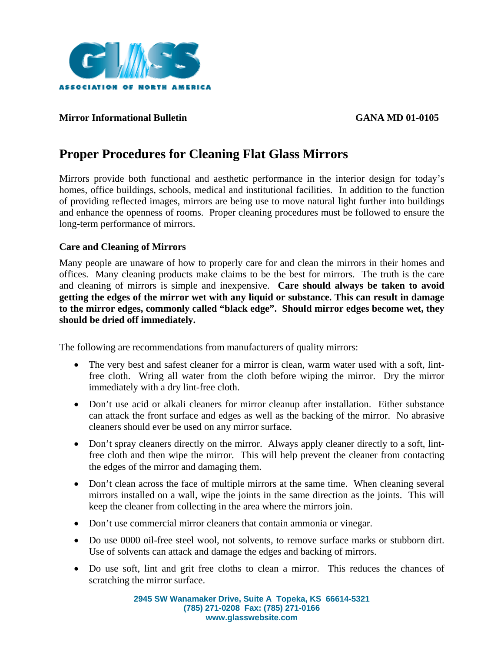

#### **Mirror Informational Bulletin GANA MD 01-0105**

# **Proper Procedures for Cleaning Flat Glass Mirrors**

Mirrors provide both functional and aesthetic performance in the interior design for today's homes, office buildings, schools, medical and institutional facilities. In addition to the function of providing reflected images, mirrors are being use to move natural light further into buildings and enhance the openness of rooms. Proper cleaning procedures must be followed to ensure the long-term performance of mirrors.

#### **Care and Cleaning of Mirrors**

Many people are unaware of how to properly care for and clean the mirrors in their homes and offices. Many cleaning products make claims to be the best for mirrors. The truth is the care and cleaning of mirrors is simple and inexpensive. **Care should always be taken to avoid getting the edges of the mirror wet with any liquid or substance. This can result in damage to the mirror edges, commonly called "black edge". Should mirror edges become wet, they should be dried off immediately.** 

The following are recommendations from manufacturers of quality mirrors:

- The very best and safest cleaner for a mirror is clean, warm water used with a soft, lintfree cloth. Wring all water from the cloth before wiping the mirror. Dry the mirror immediately with a dry lint-free cloth.
- Don't use acid or alkali cleaners for mirror cleanup after installation. Either substance can attack the front surface and edges as well as the backing of the mirror. No abrasive cleaners should ever be used on any mirror surface.
- Don't spray cleaners directly on the mirror. Always apply cleaner directly to a soft, lintfree cloth and then wipe the mirror. This will help prevent the cleaner from contacting the edges of the mirror and damaging them.
- Don't clean across the face of multiple mirrors at the same time. When cleaning several mirrors installed on a wall, wipe the joints in the same direction as the joints. This will keep the cleaner from collecting in the area where the mirrors join.
- Don't use commercial mirror cleaners that contain ammonia or vinegar.
- Do use 0000 oil-free steel wool, not solvents, to remove surface marks or stubborn dirt. Use of solvents can attack and damage the edges and backing of mirrors.
- Do use soft, lint and grit free cloths to clean a mirror. This reduces the chances of scratching the mirror surface.

**2945 SW Wanamaker Drive, Suite A Topeka, KS 66614-5321 (785) 271-0208 Fax: (785) 271-0166 www.glasswebsite.com**